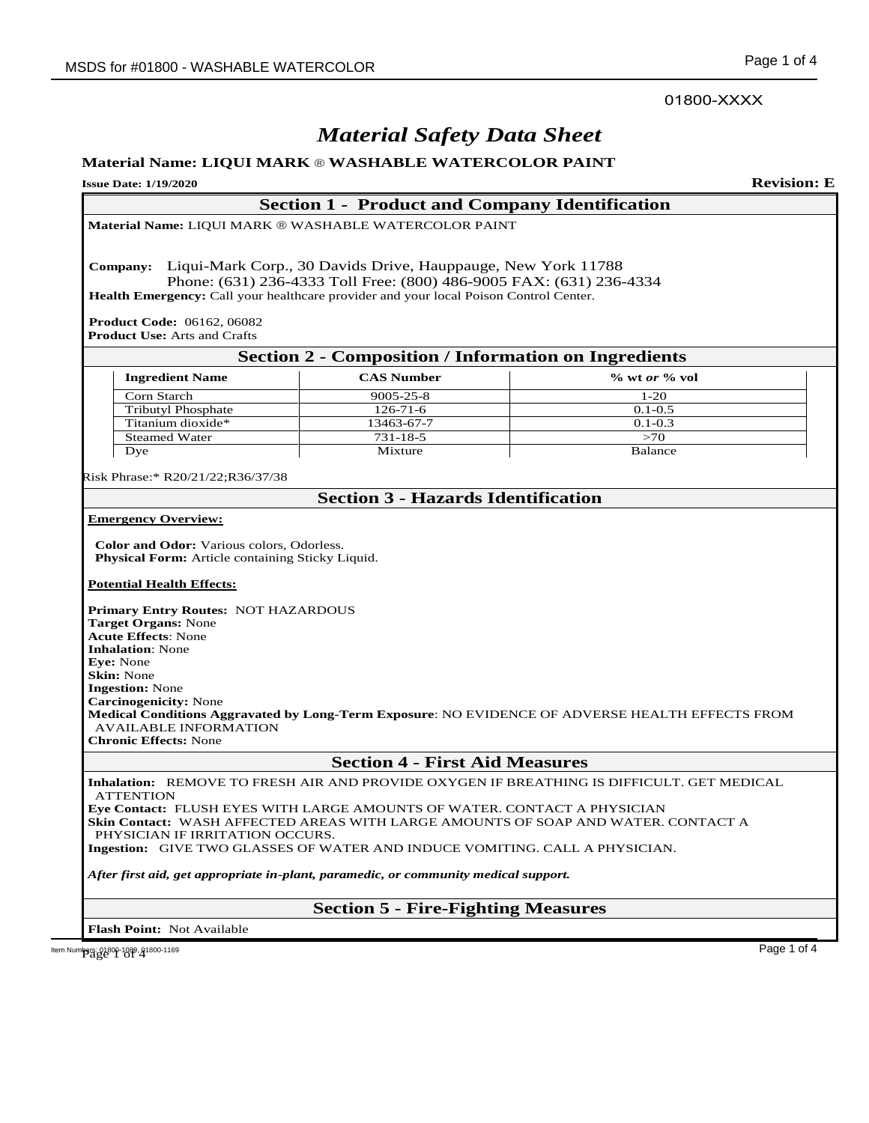01800-XXXX

# *Material Safety Data Sheet*

# **Material Name: LIQUI MARK** ® **WASHABLE WATERCOLOR PAINT**

# **Issue Date: 1/19/2020 Revision: E Section 1 - Product and Company Identification Material Name:** LIQUI MARK ® WASHABLE WATERCOLOR PAINT **Company:** Liqui-Mark Corp., 30 Davids Drive, Hauppauge, New York 11788 Phone: (631) 236-4333 Toll Free: (800) 486-9005 FAX: (631) 236-4334 **Health Emergency:** Call your healthcare provider and your local Poison Control Center. **Product Code:** 06162, 06082 **Product Use:** Arts and Crafts **Section 2 - Composition / Information on Ingredients Ingredient Name CAS Number % wt** *or* **% vol** Corn Starch 9005-25-8 1-20<br>Tributyl Phosphate 126-71-6 0.1-0.5 Tributyl Phosphate Titanium dioxide\* 13463-67-7 0.1-0.3 Steamed Water 731-18-5 >70<br>Dye Mixture Balance Dye Balance Mixture Balance Risk Phrase:\* R20/21/22;R36/37/38 **Section 3 - Hazards Identification Emergency Overview: Color and Odor:** Various colors, Odorless.  **Physical Form:** Article containing Sticky Liquid. **Potential Health Effects: Primary Entry Routes:** NOT HAZARDOUS **Target Organs:** None **Acute Effects**: None **Inhalation**: None **Eye:** None **Skin:** None **Ingestion:** None **Carcinogenicity:** None **Medical Conditions Aggravated by Long-Term Exposure**: NO EVIDENCE OF ADVERSE HEALTH EFFECTS FROM AVAILABLE INFORMATION **Chronic Effects:** None **Section 4 - First Aid Measures Inhalation:** REMOVE TO FRESH AIR AND PROVIDE OXYGEN IF BREATHING IS DIFFICULT. GET MEDICAL ATTENTION **Eye Contact:** FLUSH EYES WITH LARGE AMOUNTS OF WATER. CONTACT A PHYSICIAN **Skin Contact:** WASH AFFECTED AREAS WITH LARGE AMOUNTS OF SOAP AND WATER. CONTACT A PHYSICIAN IF IRRITATION OCCURS. **Ingestion:** GIVE TWO GLASSES OF WATER AND INDUCE VOMITING. CALL A PHYSICIAN.

*After first aid, get appropriate in-plant, paramedic, or community medical support.* 

# **Section 5 - Fire-Fighting Measures**

**Flash Point:** Not Available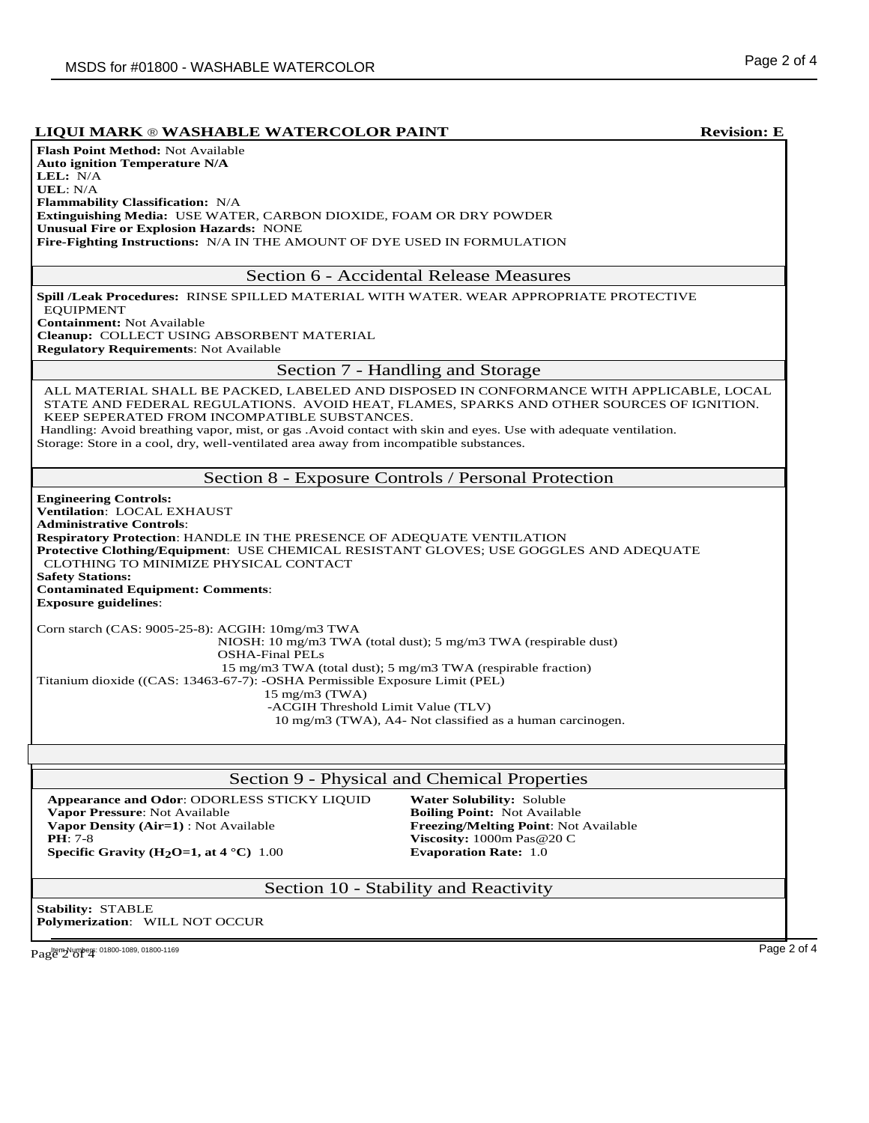# **LIQUI MARK** ® **WASHABLE WATERCOLOR PAINT Revision: E**

| ицентиних » и попитали и и присодом гипут                                                                                                                                                                                                                  | летволоп. Е                                                                                                                                                                          |
|------------------------------------------------------------------------------------------------------------------------------------------------------------------------------------------------------------------------------------------------------------|--------------------------------------------------------------------------------------------------------------------------------------------------------------------------------------|
| <b>Flash Point Method: Not Available</b>                                                                                                                                                                                                                   |                                                                                                                                                                                      |
| <b>Auto ignition Temperature N/A</b>                                                                                                                                                                                                                       |                                                                                                                                                                                      |
| LEL: N/A                                                                                                                                                                                                                                                   |                                                                                                                                                                                      |
| <b>UEL: N/A</b>                                                                                                                                                                                                                                            |                                                                                                                                                                                      |
| Flammability Classification: N/A<br>Extinguishing Media: USE WATER, CARBON DIOXIDE, FOAM OR DRY POWDER                                                                                                                                                     |                                                                                                                                                                                      |
| <b>Unusual Fire or Explosion Hazards: NONE</b>                                                                                                                                                                                                             |                                                                                                                                                                                      |
| Fire-Fighting Instructions: N/A IN THE AMOUNT OF DYE USED IN FORMULATION                                                                                                                                                                                   |                                                                                                                                                                                      |
|                                                                                                                                                                                                                                                            |                                                                                                                                                                                      |
|                                                                                                                                                                                                                                                            | Section 6 - Accidental Release Measures                                                                                                                                              |
| Spill /Leak Procedures: RINSE SPILLED MATERIAL WITH WATER. WEAR APPROPRIATE PROTECTIVE                                                                                                                                                                     |                                                                                                                                                                                      |
| <b>EQUIPMENT</b>                                                                                                                                                                                                                                           |                                                                                                                                                                                      |
| <b>Containment: Not Available</b>                                                                                                                                                                                                                          |                                                                                                                                                                                      |
| Cleanup: COLLECT USING ABSORBENT MATERIAL                                                                                                                                                                                                                  |                                                                                                                                                                                      |
| <b>Regulatory Requirements: Not Available</b>                                                                                                                                                                                                              |                                                                                                                                                                                      |
|                                                                                                                                                                                                                                                            | Section 7 - Handling and Storage                                                                                                                                                     |
| KEEP SEPERATED FROM INCOMPATIBLE SUBSTANCES.<br>Handling: Avoid breathing vapor, mist, or gas . Avoid contact with skin and eyes. Use with adequate ventilation.<br>Storage: Store in a cool, dry, well-ventilated area away from incompatible substances. | ALL MATERIAL SHALL BE PACKED, LABELED AND DISPOSED IN CONFORMANCE WITH APPLICABLE, LOCAL<br>STATE AND FEDERAL REGULATIONS. AVOID HEAT, FLAMES, SPARKS AND OTHER SOURCES OF IGNITION. |
|                                                                                                                                                                                                                                                            | Section 8 - Exposure Controls / Personal Protection                                                                                                                                  |
| <b>Engineering Controls:</b>                                                                                                                                                                                                                               |                                                                                                                                                                                      |
| <b>Ventilation: LOCAL EXHAUST</b>                                                                                                                                                                                                                          |                                                                                                                                                                                      |
| <b>Administrative Controls:</b>                                                                                                                                                                                                                            |                                                                                                                                                                                      |
| <b>Respiratory Protection: HANDLE IN THE PRESENCE OF ADEQUATE VENTILATION</b>                                                                                                                                                                              |                                                                                                                                                                                      |
| Protective Clothing/Equipment: USE CHEMICAL RESISTANT GLOVES; USE GOGGLES AND ADEQUATE                                                                                                                                                                     |                                                                                                                                                                                      |
| CLOTHING TO MINIMIZE PHYSICAL CONTACT<br><b>Safety Stations:</b>                                                                                                                                                                                           |                                                                                                                                                                                      |
| <b>Contaminated Equipment: Comments:</b>                                                                                                                                                                                                                   |                                                                                                                                                                                      |
| <b>Exposure guidelines:</b>                                                                                                                                                                                                                                |                                                                                                                                                                                      |
|                                                                                                                                                                                                                                                            |                                                                                                                                                                                      |
| Corn starch (CAS: 9005-25-8): ACGIH: 10mg/m3 TWA                                                                                                                                                                                                           |                                                                                                                                                                                      |
|                                                                                                                                                                                                                                                            | NIOSH: 10 mg/m3 TWA (total dust); 5 mg/m3 TWA (respirable dust)                                                                                                                      |
| <b>OSHA-Final PELs</b>                                                                                                                                                                                                                                     |                                                                                                                                                                                      |
| Titanium dioxide ((CAS: 13463-67-7): - OSHA Permissible Exposure Limit (PEL)                                                                                                                                                                               | 15 mg/m3 TWA (total dust); 5 mg/m3 TWA (respirable fraction)                                                                                                                         |
| $15 \text{ mg/m}$ $3 \text{ (TWA)}$                                                                                                                                                                                                                        |                                                                                                                                                                                      |
| -ACGIH Threshold Limit Value (TLV)                                                                                                                                                                                                                         |                                                                                                                                                                                      |
| 10 mg/m3 (TWA), A4- Not classified as a human carcinogen.                                                                                                                                                                                                  |                                                                                                                                                                                      |
|                                                                                                                                                                                                                                                            |                                                                                                                                                                                      |
|                                                                                                                                                                                                                                                            |                                                                                                                                                                                      |
|                                                                                                                                                                                                                                                            | Section 9 - Physical and Chemical Properties                                                                                                                                         |
| Appearance and Odor: ODORLESS STICKY LIQUID                                                                                                                                                                                                                | <b>Water Solubility: Soluble</b>                                                                                                                                                     |
| Vapor Pressure: Not Available                                                                                                                                                                                                                              | <b>Boiling Point: Not Available</b>                                                                                                                                                  |
| Vapor Density (Air=1) : Not Available                                                                                                                                                                                                                      | Freezing/Melting Point: Not Available                                                                                                                                                |
| $PH: 7-8$                                                                                                                                                                                                                                                  | Viscosity: 1000m Pas@20 C                                                                                                                                                            |
| Specific Gravity (H <sub>2</sub> O=1, at 4 °C) 1.00                                                                                                                                                                                                        | <b>Evaporation Rate: 1.0</b>                                                                                                                                                         |
|                                                                                                                                                                                                                                                            | Section 10 - Stability and Reactivity                                                                                                                                                |
| <b>Stability: STABLE</b>                                                                                                                                                                                                                                   |                                                                                                                                                                                      |
| Polymerization: WILL NOT OCCUR                                                                                                                                                                                                                             |                                                                                                                                                                                      |
|                                                                                                                                                                                                                                                            |                                                                                                                                                                                      |
| Page 2 of 4 01800-1089, 01800-1169                                                                                                                                                                                                                         | Page 2 of 4                                                                                                                                                                          |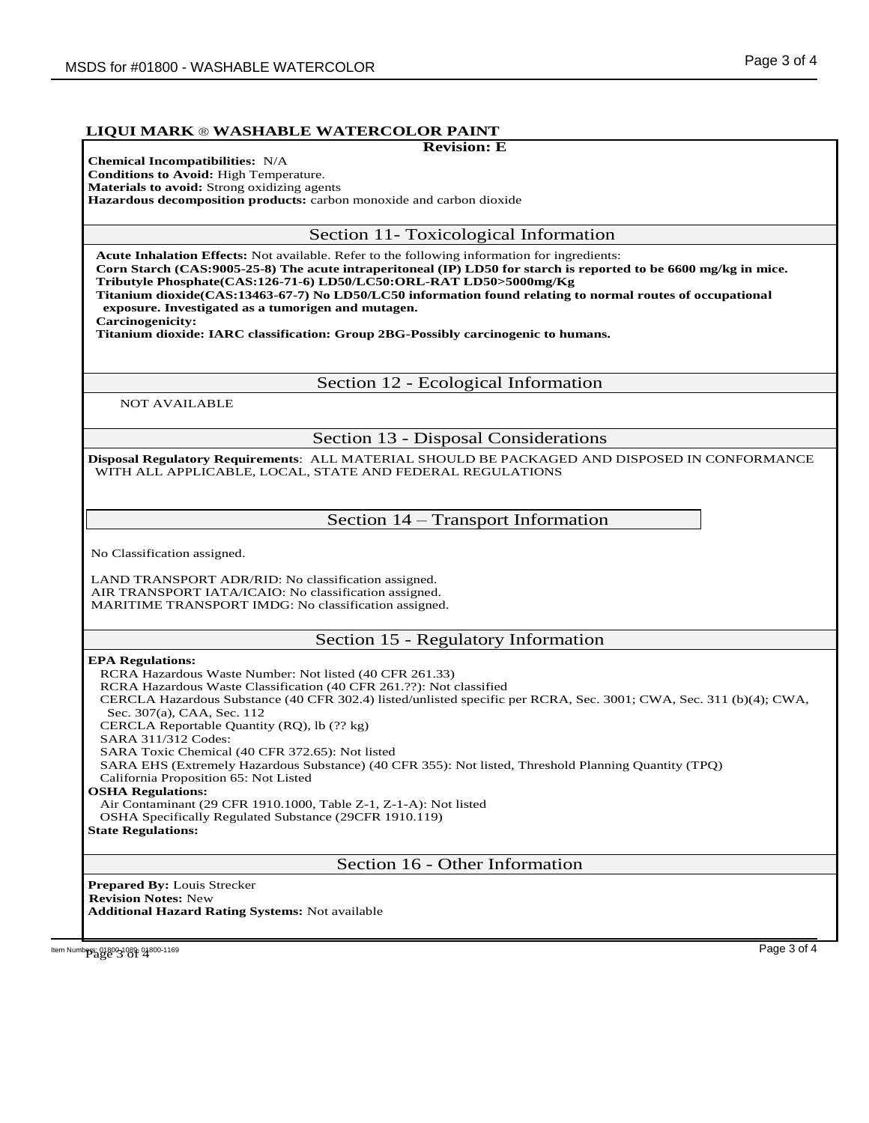### **LIQUI MARK** ® **WASHABLE WATERCOLOR PAINT**

#### **Revision: E**

**Chemical Incompatibilities:** N/A **Conditions to Avoid:** High Temperature. **Materials to avoid:** Strong oxidizing agents

**Hazardous decomposition products:** carbon monoxide and carbon dioxide

Section 11- Toxicological Information

**Acute Inhalation Effects:** Not available. Refer to the following information for ingredients:

**Corn Starch (CAS:9005-25-8) The acute intraperitoneal (IP) LD50 for starch is reported to be 6600 mg/kg in mice. Tributyle Phosphate(CAS:126-71-6) LD50/LC50:ORL-RAT LD50>5000mg/Kg**

**Titanium dioxide(CAS:13463-67-7) No LD50/LC50 information found relating to normal routes of occupational exposure. Investigated as a tumorigen and mutagen.**

**Carcinogenicity:**

**Titanium dioxide: IARC classification: Group 2BG-Possibly carcinogenic to humans.** 

Section 12 - Ecological Information

NOT AVAILABLE

Section 13 - Disposal Considerations

**Disposal Regulatory Requirements**: ALL MATERIAL SHOULD BE PACKAGED AND DISPOSED IN CONFORMANCE WITH ALL APPLICABLE, LOCAL, STATE AND FEDERAL REGULATIONS

Section 14 – Transport Information

No Classification assigned.

LAND TRANSPORT ADR/RID: No classification assigned. AIR TRANSPORT IATA/ICAIO: No classification assigned. MARITIME TRANSPORT IMDG: No classification assigned.

## Section 15 - Regulatory Information

#### **EPA Regulations:**

RCRA Hazardous Waste Number: Not listed (40 CFR 261.33) RCRA Hazardous Waste Classification (40 CFR 261.??): Not classified CERCLA Hazardous Substance (40 CFR 302.4) listed/unlisted specific per RCRA, Sec. 3001; CWA, Sec. 311 (b)(4); CWA, Sec. 307(a), CAA, Sec. 112 CERCLA Reportable Quantity (RQ), lb (?? kg) SARA 311/312 Codes: SARA Toxic Chemical (40 CFR 372.65): Not listed SARA EHS (Extremely Hazardous Substance) (40 CFR 355): Not listed, Threshold Planning Quantity (TPQ) California Proposition 65: Not Listed **OSHA Regulations:** Air Contaminant (29 CFR 1910.1000, Table Z-1, Z-1-A): Not listed OSHA Specifically Regulated Substance (29CFR 1910.119) **State Regulations:** Section 16 - Other Information

**Prepared By:** Louis Strecker  **Revision Notes:** New **Additional Hazard Rating Systems:** Not available